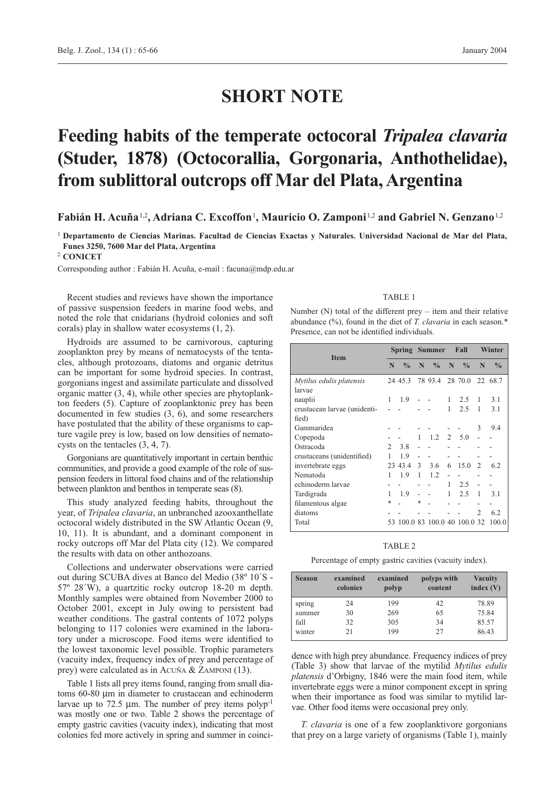# **SHORT NOTE**

# **Feeding habits of the temperate octocoral** *Tripalea clavaria* **(Studer, 1878) (Octocorallia, Gorgonaria, Anthothelidae), from sublittoral outcrops off Mar del Plata, Argentina**

**Fabián H. Acuña**1,2**, Adriana C. Excoffon**1**, Mauricio O. Zamponi**1,2 **and Gabriel N. Genzano**1,2

<sup>1</sup> **Departamento de Ciencias Marinas. Facultad de Ciencias Exactas y Naturales. Universidad Nacional de Mar del Plata, Funes 3250, 7600 Mar del Plata, Argentina**

<sup>2</sup> **CONICET**

Corresponding author : Fabián H. Acuña, e-mail : facuna@mdp.edu.ar

Recent studies and reviews have shown the importance of passive suspension feeders in marine food webs, and noted the role that cnidarians (hydroid colonies and soft corals) play in shallow water ecosystems (1, 2).

Hydroids are assumed to be carnivorous, capturing zooplankton prey by means of nematocysts of the tentacles, although protozoans, diatoms and organic detritus can be important for some hydroid species. In contrast, gorgonians ingest and assimilate particulate and dissolved organic matter (3, 4), while other species are phytoplankton feeders (5). Capture of zooplanktonic prey has been documented in few studies (3, 6), and some researchers have postulated that the ability of these organisms to capture vagile prey is low, based on low densities of nematocysts on the tentacles (3, 4, 7).

Gorgonians are quantitatively important in certain benthic communities, and provide a good example of the role of suspension feeders in littoral food chains and of the relationship between plankton and benthos in temperate seas (8).

This study analyzed feeding habits, throughout the year, of *Tripalea clavaria*, an unbranched azooxanthellate octocoral widely distributed in the SW Atlantic Ocean (9, 10, 11). It is abundant, and a dominant component in rocky outcrops off Mar del Plata city (12). We compared the results with data on other anthozoans.

Collections and underwater observations were carried out during SCUBA dives at Banco del Medio (38º 10´S - 57º 28´W), a quartzitic rocky outcrop 18-20 m depth. Monthly samples were obtained from November 2000 to October 2001, except in July owing to persistent bad weather conditions. The gastral contents of 1072 polyps belonging to 117 colonies were examined in the laboratory under a microscope. Food items were identified to the lowest taxonomic level possible. Trophic parameters (vacuity index, frequency index of prey and percentage of prey) were calculated as in ACUÑA & ZAMPONI (13).

Table 1 lists all prey items found, ranging from small diatoms 60-80 µm in diameter to crustacean and echinoderm larvae up to 72.5  $\mu$ m. The number of prey items polyp<sup>-1</sup> was mostly one or two. Table 2 shows the percentage of empty gastric cavities (vacuity index), indicating that most colonies fed more actively in spring and summer in coinci-

#### TABLE 1

Number (N) total of the different prey – item and their relative abundance (%), found in the diet of *T. clavaria* in each season.\* Presence, can not be identified individuals.

| <b>Item</b>                  |               | Spring        |               | <b>Summer</b>              |   | Fall          |                | Winter        |  |
|------------------------------|---------------|---------------|---------------|----------------------------|---|---------------|----------------|---------------|--|
|                              |               | $\frac{0}{0}$ | N             | $\frac{0}{0}$              | N | $\frac{0}{0}$ | N              | $\frac{0}{0}$ |  |
| Mytilus edulis platensis     |               | 24 45.3       |               | 78 93.4                    |   | 28 70.0       |                | 22 68.7       |  |
| larvae                       |               |               |               |                            |   |               |                |               |  |
| nauplii                      | 1             | 1.9           |               |                            | 1 | 2.5           | 1              | 3.1           |  |
| crustacean larvae (unidenti- |               |               |               |                            | 1 | 2.5           | 1              | 3.1           |  |
| fied)                        |               |               |               |                            |   |               |                |               |  |
| Gammaridea                   |               |               |               |                            |   |               | 3              | 9.4           |  |
| Copepoda                     |               |               | 1             | 1.2                        | 2 | -5.0          |                |               |  |
| Ostracoda                    | $\mathcal{L}$ | 3.8           |               |                            |   |               |                |               |  |
| crustaceans (unidentified)   | 1             | 1.9           |               |                            |   |               |                |               |  |
| invertebrate eggs            |               | 23 43.4       | $\mathcal{E}$ | 3.6                        | 6 | 15.0          | 2              | 6.2           |  |
| Nematoda                     | 1             | 1.9           | 1             | 12                         |   |               |                |               |  |
| echinoderm larvae            |               |               |               |                            | 1 | 2.5           |                |               |  |
| Tardigrada                   | 1             | 1.9           |               |                            | 1 | 2.5           | 1              | 3.1           |  |
| filamentous algae            | *             |               | $\ast$        |                            |   |               |                |               |  |
| diatoms                      |               |               |               |                            |   |               | $\mathfrak{D}$ | 6.2           |  |
| Total                        |               |               |               | 53 100.0 83 100.0 40 100.0 |   |               | 32             | 100.0         |  |

## TABLE 2

Percentage of empty gastric cavities (vacuity index).

| <b>Season</b> | examined<br>colonies | examined<br>polyp | polyps with<br>content | <b>Vacuity</b><br>index $(V)$ |
|---------------|----------------------|-------------------|------------------------|-------------------------------|
| spring        | 24                   | 199               | 42                     | 78.89                         |
| summer        | 30                   | 269               | 65                     | 75.84                         |
| fall          | 32                   | 305               | 34                     | 85.57                         |
| winter        | 21                   | 199               | 27                     | 86.43                         |

dence with high prey abundance. Frequency indices of prey (Table 3) show that larvae of the mytilid *Mytilus edulis platensis* d'Orbigny, 1846 were the main food item, while invertebrate eggs were a minor component except in spring when their importance as food was similar to mytilid larvae. Other food items were occasional prey only.

*T. clavaria* is one of a few zooplanktivore gorgonians that prey on a large variety of organisms (Table 1), mainly